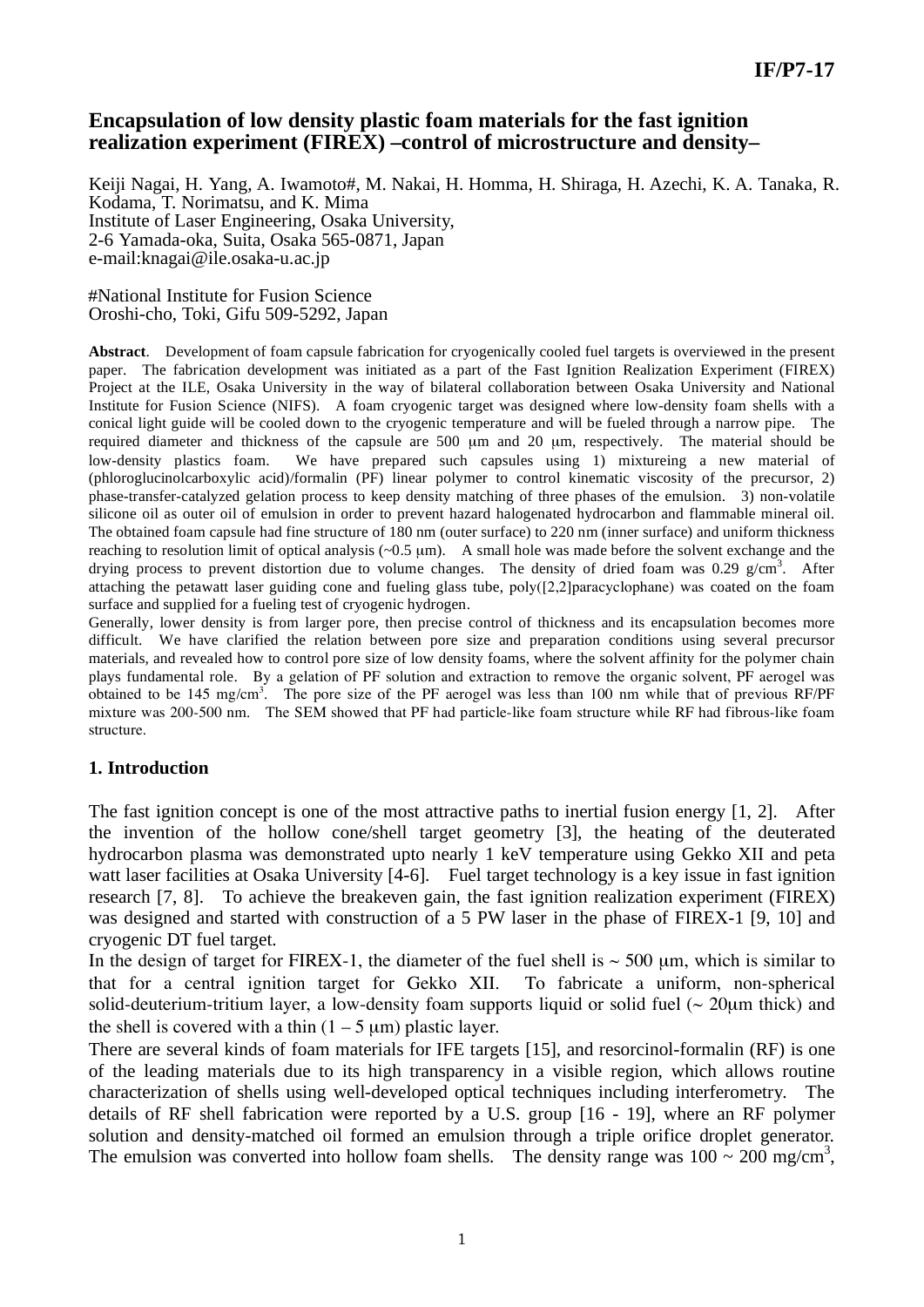## **Encapsulation of low density plastic foam materials for the fast ignition realization experiment (FIREX) –control of microstructure and density–**

Keiji Nagai, H. Yang, A. Iwamoto#, M. Nakai, H. Homma, H. Shiraga, H. Azechi, K. A. Tanaka, R. Kodama, T. Norimatsu, and K. Mima Institute of Laser Engineering, Osaka University, 2-6 Yamada-oka, Suita, Osaka 565-0871, Japan e-mail:knagai@ile.osaka-u.ac.jp

#National Institute for Fusion Science Oroshi-cho, Toki, Gifu 509-5292, Japan

**Abstract**. Development of foam capsule fabrication for cryogenically cooled fuel targets is overviewed in the present paper. The fabrication development was initiated as a part of the Fast Ignition Realization Experiment (FIREX) Project at the ILE, Osaka University in the way of bilateral collaboration between Osaka University and National Institute for Fusion Science (NIFS). A foam cryogenic target was designed where low-density foam shells with a conical light guide will be cooled down to the cryogenic temperature and will be fueled through a narrow pipe. The required diameter and thickness of the capsule are 500 μm and 20 μm, respectively. The material should be low-density plastics foam. We have prepared such capsules using 1) mixtureing a new material of (phloroglucinolcarboxylic acid)/formalin (PF) linear polymer to control kinematic viscosity of the precursor, 2) phase-transfer-catalyzed gelation process to keep density matching of three phases of the emulsion. 3) non-volatile silicone oil as outer oil of emulsion in order to prevent hazard halogenated hydrocarbon and flammable mineral oil. The obtained foam capsule had fine structure of 180 nm (outer surface) to 220 nm (inner surface) and uniform thickness reaching to resolution limit of optical analysis (~0.5 μm). A small hole was made before the solvent exchange and the drying process to prevent distortion due to volume changes. The density of dried foam was 0.29 g/cm<sup>3</sup>. After attaching the petawatt laser guiding cone and fueling glass tube, poly([2,2]paracyclophane) was coated on the foam surface and supplied for a fueling test of cryogenic hydrogen.

Generally, lower density is from larger pore, then precise control of thickness and its encapsulation becomes more difficult. We have clarified the relation between pore size and preparation conditions using several precursor materials, and revealed how to control pore size of low density foams, where the solvent affinity for the polymer chain plays fundamental role. By a gelation of PF solution and extraction to remove the organic solvent, PF aerogel was obtained to be 145 mg/cm<sup>3</sup>. The pore size of the PF aerogel was less than 100 nm while that of previous RF/PF mixture was 200-500 nm. The SEM showed that PF had particle-like foam structure while RF had fibrous-like foam structure.

## **1. Introduction**

The fast ignition concept is one of the most attractive paths to inertial fusion energy [1, 2]. After the invention of the hollow cone/shell target geometry [3], the heating of the deuterated hydrocarbon plasma was demonstrated upto nearly 1 keV temperature using Gekko XII and peta watt laser facilities at Osaka University [4-6]. Fuel target technology is a key issue in fast ignition research [7, 8]. To achieve the breakeven gain, the fast ignition realization experiment (FIREX) was designed and started with construction of a 5 PW laser in the phase of FIREX-1 [9, 10] and cryogenic DT fuel target.

In the design of target for FIREX-1, the diameter of the fuel shell is  $\sim$  500 µm, which is similar to that for a central ignition target for Gekko XII. To fabricate a uniform, non-spherical solid-deuterium-tritium layer, a low-density foam supports liquid or solid fuel ( $\sim$  20 $\mu$ m thick) and the shell is covered with a thin  $(1 - 5 \mu m)$  plastic layer.

There are several kinds of foam materials for IFE targets [15], and resorcinol-formalin (RF) is one of the leading materials due to its high transparency in a visible region, which allows routine characterization of shells using well-developed optical techniques including interferometry. The details of RF shell fabrication were reported by a U.S. group [16 - 19], where an RF polymer solution and density-matched oil formed an emulsion through a triple orifice droplet generator. The emulsion was converted into hollow foam shells. The density range was  $100 \sim 200$  mg/cm<sup>3</sup>,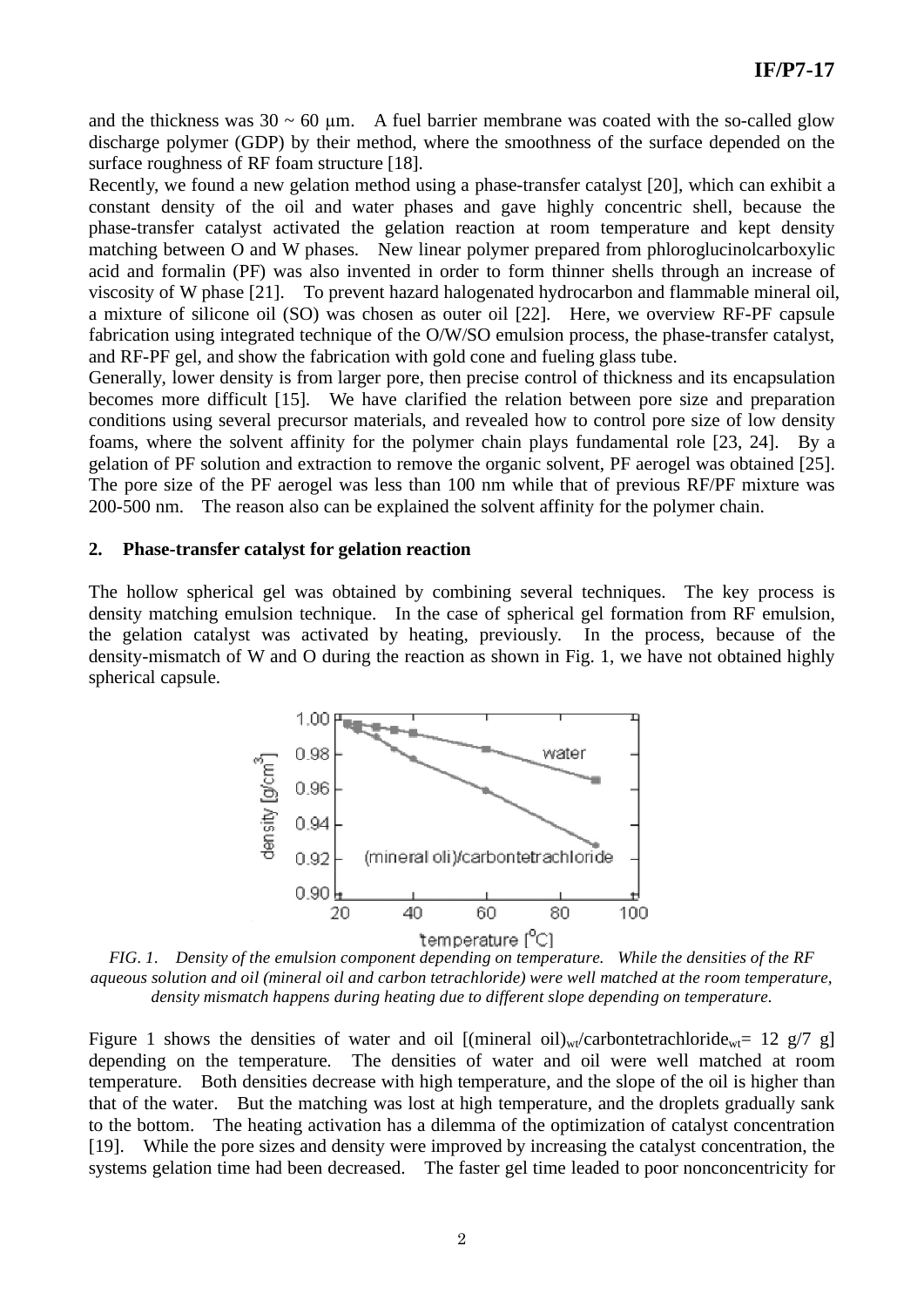and the thickness was  $30 \sim 60$  µm. A fuel barrier membrane was coated with the so-called glow discharge polymer (GDP) by their method, where the smoothness of the surface depended on the surface roughness of RF foam structure [18].

Recently, we found a new gelation method using a phase-transfer catalyst [20], which can exhibit a constant density of the oil and water phases and gave highly concentric shell, because the phase-transfer catalyst activated the gelation reaction at room temperature and kept density matching between O and W phases. New linear polymer prepared from phloroglucinolcarboxylic acid and formalin (PF) was also invented in order to form thinner shells through an increase of viscosity of W phase [21]. To prevent hazard halogenated hydrocarbon and flammable mineral oil, a mixture of silicone oil (SO) was chosen as outer oil [22]. Here, we overview RF-PF capsule fabrication using integrated technique of the O/W/SO emulsion process, the phase-transfer catalyst, and RF-PF gel, and show the fabrication with gold cone and fueling glass tube.

Generally, lower density is from larger pore, then precise control of thickness and its encapsulation becomes more difficult [15]. We have clarified the relation between pore size and preparation conditions using several precursor materials, and revealed how to control pore size of low density foams, where the solvent affinity for the polymer chain plays fundamental role [23, 24]. By a gelation of PF solution and extraction to remove the organic solvent, PF aerogel was obtained [25]. The pore size of the PF aerogel was less than 100 nm while that of previous RF/PF mixture was 200-500 nm. The reason also can be explained the solvent affinity for the polymer chain.

#### **2. Phase-transfer catalyst for gelation reaction**

The hollow spherical gel was obtained by combining several techniques. The key process is density matching emulsion technique. In the case of spherical gel formation from RF emulsion, the gelation catalyst was activated by heating, previously. In the process, because of the density-mismatch of W and O during the reaction as shown in Fig. 1, we have not obtained highly spherical capsule.



*FIG. 1. Density of the emulsion component depending on temperature. While the densities of the RF aqueous solution and oil (mineral oil and carbon tetrachloride) were well matched at the room temperature, density mismatch happens during heating due to different slope depending on temperature.* 

Figure 1 shows the densities of water and oil  $[(\text{mineral oil})_{\text{wt}}/\text{carbontetrachloride}_{\text{wt}}= 12 \text{ g}/7 \text{ g}]$ depending on the temperature. The densities of water and oil were well matched at room temperature. Both densities decrease with high temperature, and the slope of the oil is higher than that of the water. But the matching was lost at high temperature, and the droplets gradually sank to the bottom. The heating activation has a dilemma of the optimization of catalyst concentration [19]. While the pore sizes and density were improved by increasing the catalyst concentration, the systems gelation time had been decreased. The faster gel time leaded to poor nonconcentricity for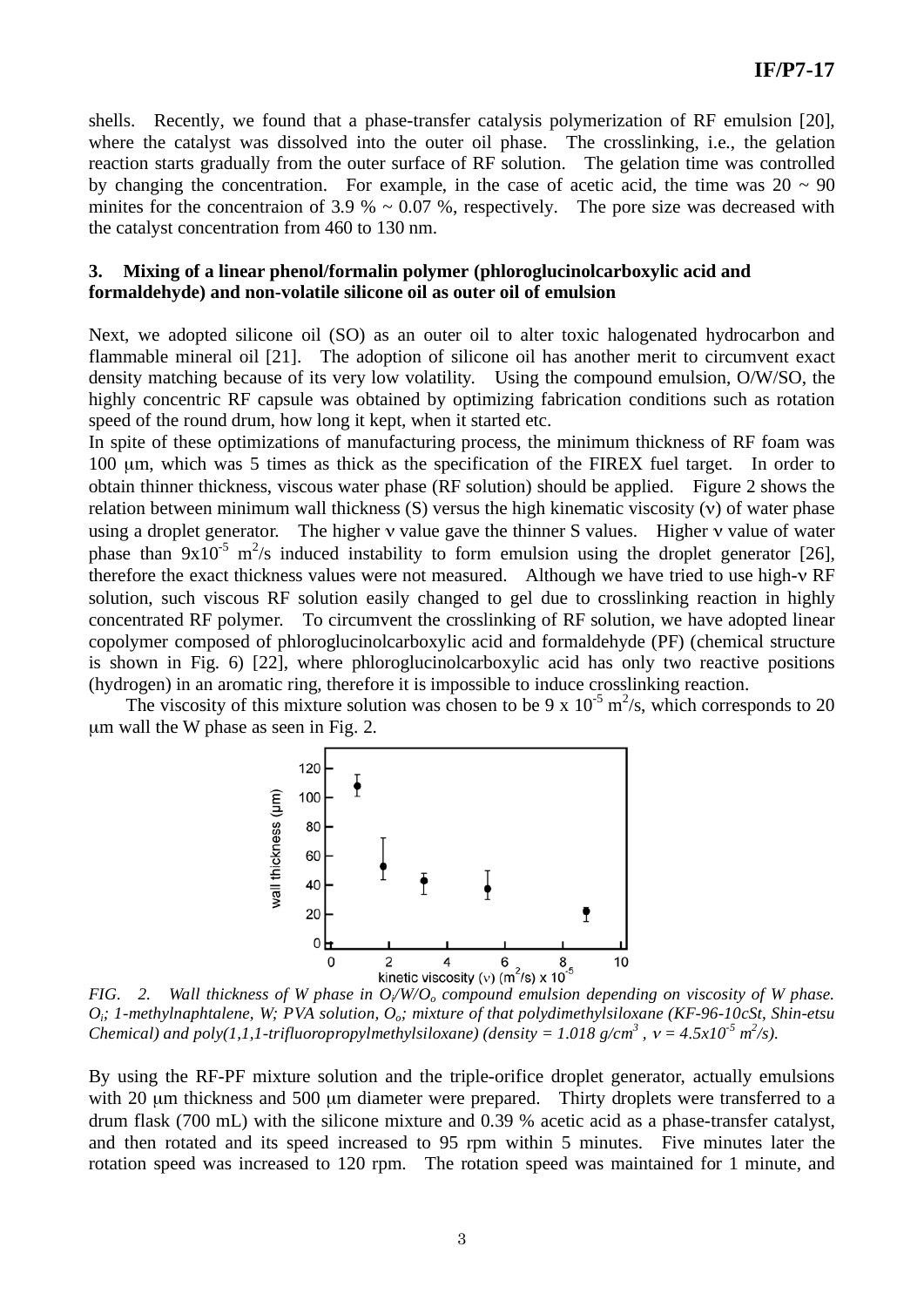shells. Recently, we found that a phase-transfer catalysis polymerization of RF emulsion [20], where the catalyst was dissolved into the outer oil phase. The crosslinking, i.e., the gelation reaction starts gradually from the outer surface of RF solution. The gelation time was controlled by changing the concentration. For example, in the case of acetic acid, the time was  $20 \sim 90$ minites for the concentraion of 3.9  $% \sim 0.07$  %, respectively. The pore size was decreased with the catalyst concentration from 460 to 130 nm.

### **3. Mixing of a linear phenol/formalin polymer (phloroglucinolcarboxylic acid and formaldehyde) and non-volatile silicone oil as outer oil of emulsion**

Next, we adopted silicone oil (SO) as an outer oil to alter toxic halogenated hydrocarbon and flammable mineral oil [21]. The adoption of silicone oil has another merit to circumvent exact density matching because of its very low volatility. Using the compound emulsion, O/W/SO, the highly concentric RF capsule was obtained by optimizing fabrication conditions such as rotation speed of the round drum, how long it kept, when it started etc.

In spite of these optimizations of manufacturing process, the minimum thickness of RF foam was 100 μm, which was 5 times as thick as the specification of the FIREX fuel target. In order to obtain thinner thickness, viscous water phase (RF solution) should be applied. Figure 2 shows the relation between minimum wall thickness  $(S)$  versus the high kinematic viscosity  $(v)$  of water phase using a droplet generator. The higher  $\nu$  value gave the thinner S values. Higher  $\nu$  value of water phase than  $9x10^{-5}$  m<sup>2</sup>/s induced instability to form emulsion using the droplet generator [26], therefore the exact thickness values were not measured. Although we have tried to use high- $\nu$  RF solution, such viscous RF solution easily changed to gel due to crosslinking reaction in highly concentrated RF polymer. To circumvent the crosslinking of RF solution, we have adopted linear copolymer composed of phloroglucinolcarboxylic acid and formaldehyde (PF) (chemical structure is shown in Fig. 6) [22], where phloroglucinolcarboxylic acid has only two reactive positions (hydrogen) in an aromatic ring, therefore it is impossible to induce crosslinking reaction.

The viscosity of this mixture solution was chosen to be 9 x  $10^{-5}$  m<sup>2</sup>/s, which corresponds to 20 μm wall the W phase as seen in Fig. 2.



<sup>0</sup> 2 4 6 8 8 10<br>**FIG.** 2. Wall thickness of W phase in  $O_i/W/O_o$  compound emulsion depending on viscosity of W phase. *Oi; 1-methylnaphtalene, W; PVA solution, Oo; mixture of that polydimethylsiloxane (KF-96-10cSt, Shin-etsu Chemical) and poly(1,1,1-trifluoropropylmethylsiloxane) (density = 1.018 g/cm<sup>3</sup>,*  $v = 4.5x10^{-5}$  *m<sup>2</sup>/s).* 

By using the RF-PF mixture solution and the triple-orifice droplet generator, actually emulsions with 20 μm thickness and 500 μm diameter were prepared. Thirty droplets were transferred to a drum flask (700 mL) with the silicone mixture and 0.39 % acetic acid as a phase-transfer catalyst, and then rotated and its speed increased to 95 rpm within 5 minutes. Five minutes later the rotation speed was increased to 120 rpm. The rotation speed was maintained for 1 minute, and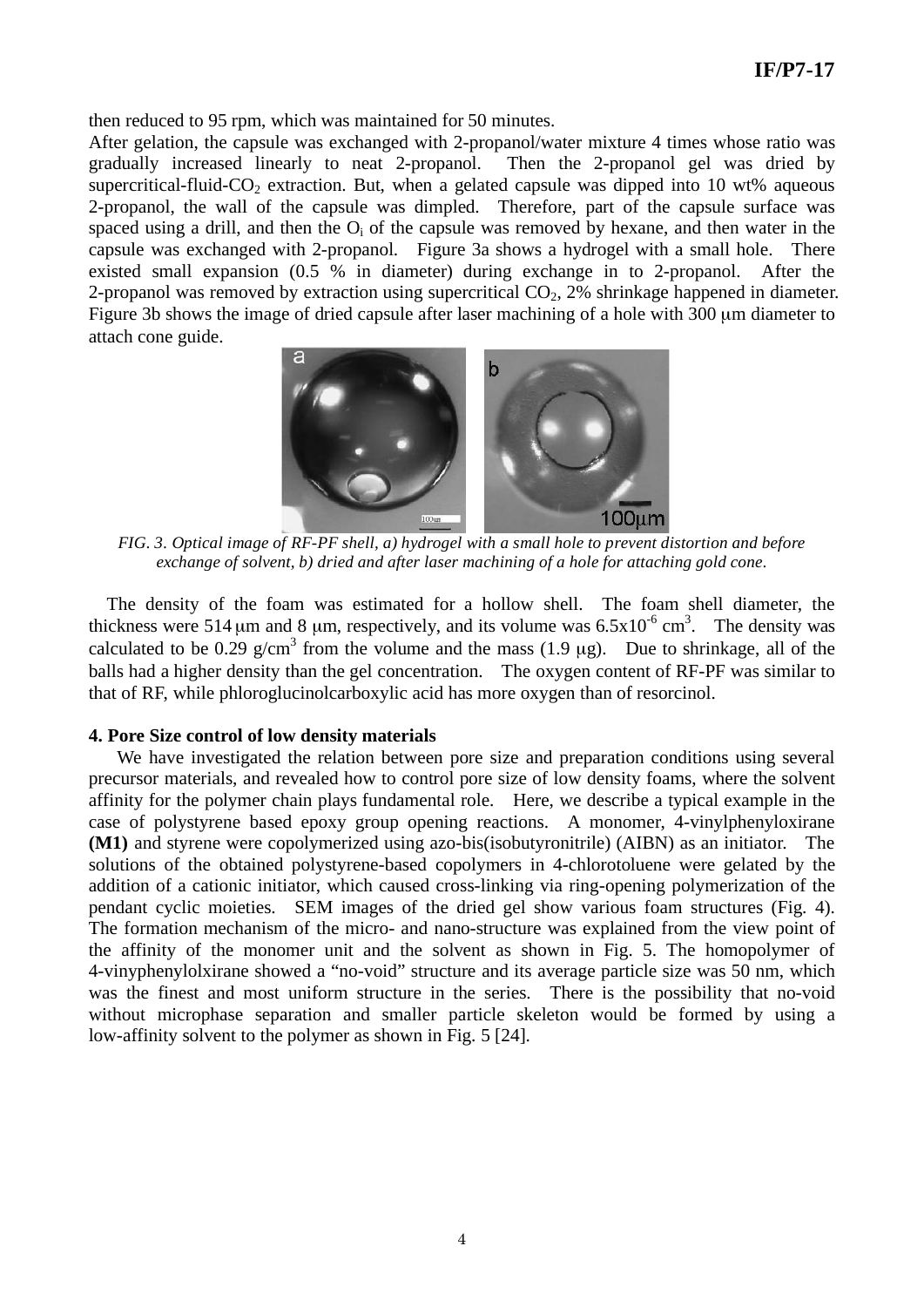then reduced to 95 rpm, which was maintained for 50 minutes.

After gelation, the capsule was exchanged with 2-propanol/water mixture 4 times whose ratio was gradually increased linearly to neat 2-propanol. Then the 2-propanol gel was dried by supercritical-fluid-CO<sub>2</sub> extraction. But, when a gelated capsule was dipped into 10 wt% aqueous 2-propanol, the wall of the capsule was dimpled. Therefore, part of the capsule surface was spaced using a drill, and then the  $O_i$  of the capsule was removed by hexane, and then water in the capsule was exchanged with 2-propanol. Figure 3a shows a hydrogel with a small hole. There existed small expansion (0.5 % in diameter) during exchange in to 2-propanol. After the 2-propanol was removed by extraction using supercritical  $CO<sub>2</sub>$ , 2% shrinkage happened in diameter. Figure 3b shows the image of dried capsule after laser machining of a hole with 300 μm diameter to attach cone guide.



 *FIG. 3. Optical image of RF-PF shell, a) hydrogel with a small hole to prevent distortion and before exchange of solvent, b) dried and after laser machining of a hole for attaching gold cone.* 

 The density of the foam was estimated for a hollow shell. The foam shell diameter, the thickness were 514  $\mu$ m and 8  $\mu$ m, respectively, and its volume was 6.5x10<sup>-6</sup> cm<sup>3</sup>. The density was calculated to be 0.29 g/cm<sup>3</sup> from the volume and the mass  $(1.9 \mu g)$ . Due to shrinkage, all of the balls had a higher density than the gel concentration. The oxygen content of RF-PF was similar to that of RF, while phloroglucinolcarboxylic acid has more oxygen than of resorcinol.

#### **4. Pore Size control of low density materials**

We have investigated the relation between pore size and preparation conditions using several precursor materials, and revealed how to control pore size of low density foams, where the solvent affinity for the polymer chain plays fundamental role. Here, we describe a typical example in the case of polystyrene based epoxy group opening reactions. A monomer, 4-vinylphenyloxirane **(M1)** and styrene were copolymerized using azo-bis(isobutyronitrile) (AIBN) as an initiator. The solutions of the obtained polystyrene-based copolymers in 4-chlorotoluene were gelated by the addition of a cationic initiator, which caused cross-linking via ring-opening polymerization of the pendant cyclic moieties. SEM images of the dried gel show various foam structures (Fig. 4). The formation mechanism of the micro- and nano-structure was explained from the view point of the affinity of the monomer unit and the solvent as shown in Fig. 5. The homopolymer of 4-vinyphenylolxirane showed a "no-void" structure and its average particle size was 50 nm, which was the finest and most uniform structure in the series. There is the possibility that no-void without microphase separation and smaller particle skeleton would be formed by using a low-affinity solvent to the polymer as shown in Fig. 5 [24].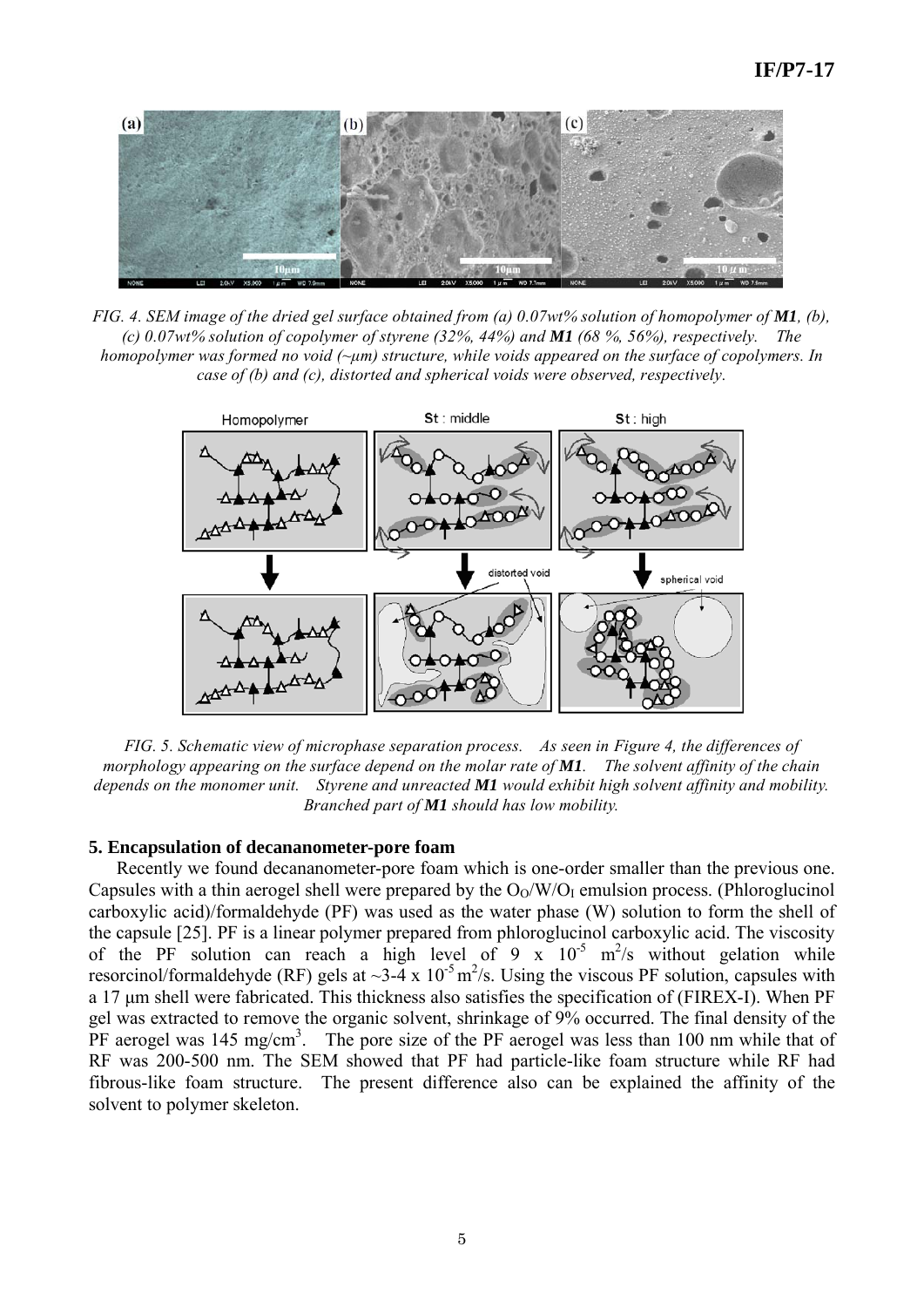

*FIG. 4. SEM image of the dried gel surface obtained from (a) 0.07wt% solution of homopolymer of M1, (b), (c) 0.07wt% solution of copolymer of styrene (32%, 44%) and M1 (68 %, 56%), respectively. The homopolymer was formed no void (~μm) structure, while voids appeared on the surface of copolymers. In case of (b) and (c), distorted and spherical voids were observed, respectively.* 



*FIG. 5. Schematic view of microphase separation process. As seen in Figure 4, the differences of morphology appearing on the surface depend on the molar rate of M1. The solvent affinity of the chain depends on the monomer unit. Styrene and unreacted M1 would exhibit high solvent affinity and mobility. Branched part of M1 should has low mobility.* 

#### **5. Encapsulation of decananometer-pore foam**

 Recently we found decananometer-pore foam which is one-order smaller than the previous one. Capsules with a thin aerogel shell were prepared by the  $O_0/W/O_I$  emulsion process. (Phloroglucinol carboxylic acid)/formaldehyde (PF) was used as the water phase (W) solution to form the shell of the capsule [25]. PF is a linear polymer prepared from phloroglucinol carboxylic acid. The viscosity of the PF solution can reach a high level of 9 x  $10^{-5}$  m<sup>2</sup>/s without gelation while resorcinol/formaldehyde (RF) gels at  $\sim$ 3-4 x 10<sup>-5</sup> m<sup>2</sup>/s. Using the viscous PF solution, capsules with a 17 μm shell were fabricated. This thickness also satisfies the specification of (FIREX-I). When PF gel was extracted to remove the organic solvent, shrinkage of 9% occurred. The final density of the  $\overline{P}F$  aerogel was 145 mg/cm<sup>3</sup>. The pore size of the PF aerogel was less than 100 nm while that of RF was 200-500 nm. The SEM showed that PF had particle-like foam structure while RF had fibrous-like foam structure. The present difference also can be explained the affinity of the solvent to polymer skeleton.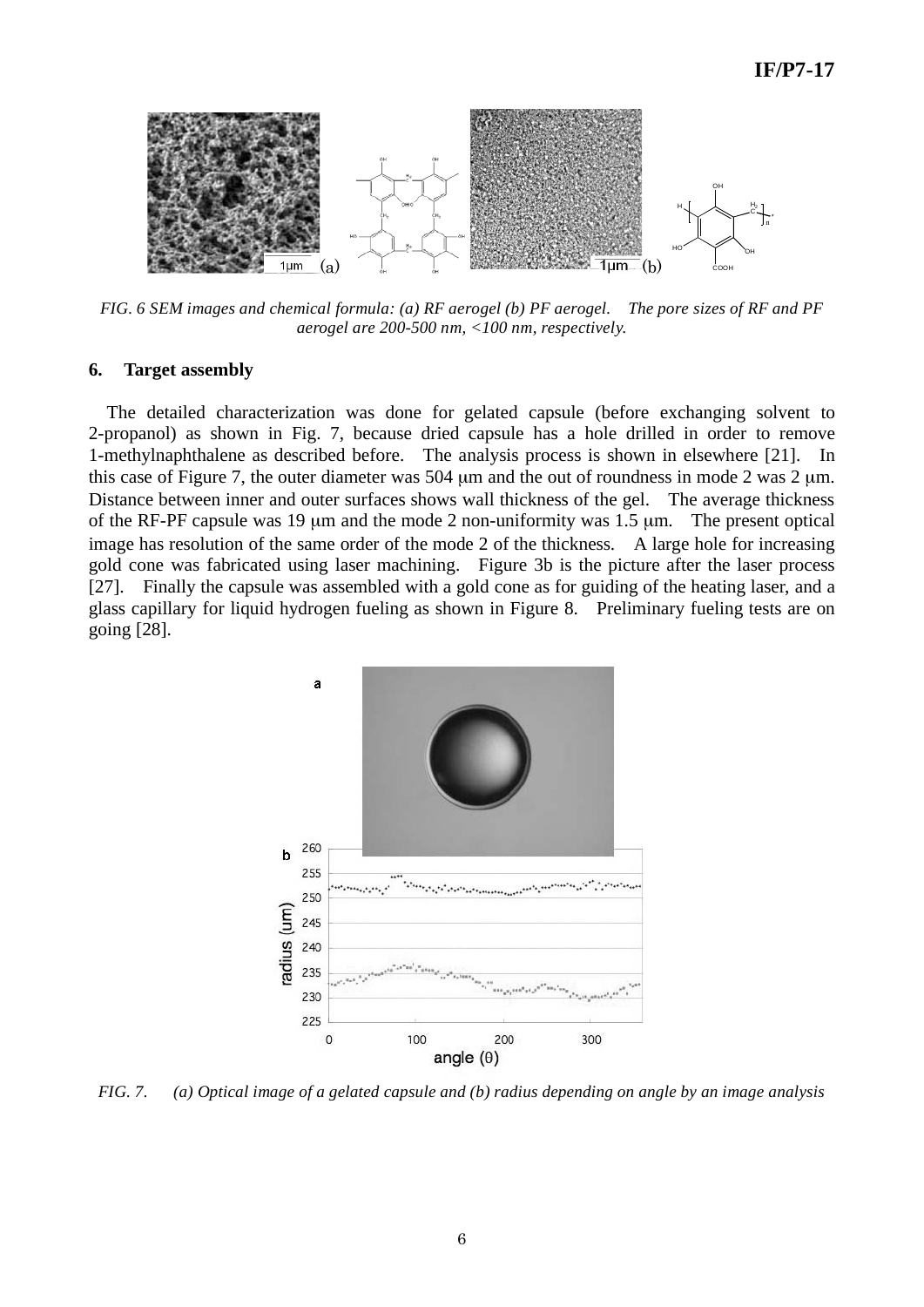

*FIG. 6 SEM images and chemical formula: (a) RF aerogel (b) PF aerogel. The pore sizes of RF and PF aerogel are 200-500 nm, <100 nm, respectively.* 

#### **6. Target assembly**

 The detailed characterization was done for gelated capsule (before exchanging solvent to 2-propanol) as shown in Fig. 7, because dried capsule has a hole drilled in order to remove 1-methylnaphthalene as described before. The analysis process is shown in elsewhere [21]. In this case of Figure 7, the outer diameter was 504 μm and the out of roundness in mode 2 was 2 μm. Distance between inner and outer surfaces shows wall thickness of the gel. The average thickness of the RF-PF capsule was 19 μm and the mode 2 non-uniformity was 1.5 μm. The present optical image has resolution of the same order of the mode 2 of the thickness. A large hole for increasing gold cone was fabricated using laser machining. Figure 3b is the picture after the laser process [27]. Finally the capsule was assembled with a gold cone as for guiding of the heating laser, and a glass capillary for liquid hydrogen fueling as shown in Figure 8. Preliminary fueling tests are on going [28].



*FIG. 7. (a) Optical image of a gelated capsule and (b) radius depending on angle by an image analysis*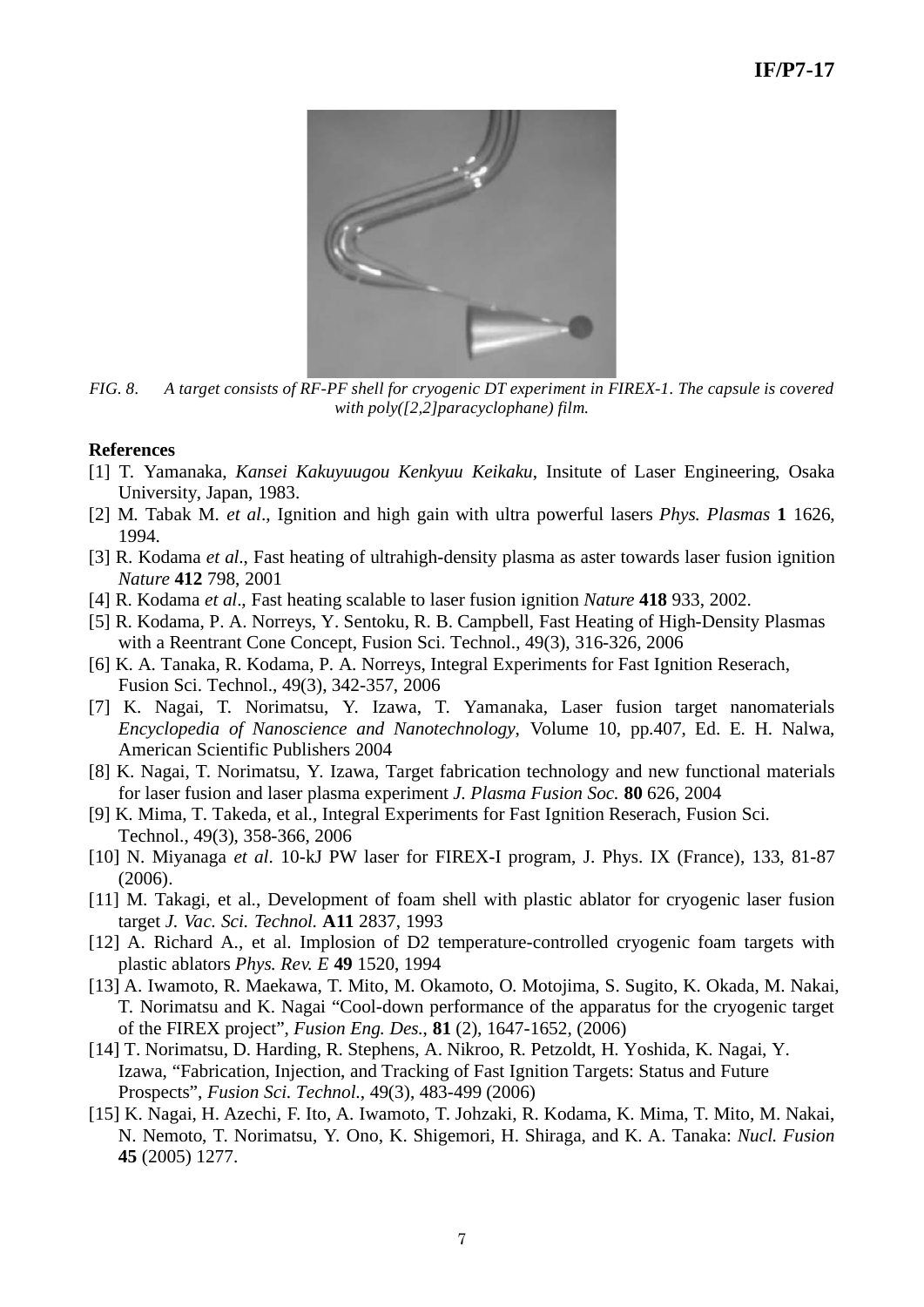# **IF/P7-17**



*FIG. 8. A target consists of RF-PF shell for cryogenic DT experiment in FIREX-1. The capsule is covered with poly([2,2]paracyclophane) film.* 

#### **References**

- [1] T. Yamanaka, *Kansei Kakuyuugou Kenkyuu Keikaku*, Insitute of Laser Engineering, Osaka University, Japan, 1983.
- [2] M. Tabak M. *et al*., Ignition and high gain with ultra powerful lasers *Phys. Plasmas* **1** 1626, 1994.
- [3] R. Kodama *et al*., Fast heating of ultrahigh-density plasma as aster towards laser fusion ignition *Nature* **412** 798, 2001
- [4] R. Kodama *et al*., Fast heating scalable to laser fusion ignition *Nature* **418** 933, 2002.
- [5] R. Kodama, P. A. Norreys, Y. Sentoku, R. B. Campbell, Fast Heating of High-Density Plasmas with a Reentrant Cone Concept, Fusion Sci. Technol., 49(3), 316-326, 2006
- [6] K. A. Tanaka, R. Kodama, P. A. Norreys, Integral Experiments for Fast Ignition Reserach, Fusion Sci. Technol., 49(3), 342-357, 2006
- [7] K. Nagai, T. Norimatsu, Y. Izawa, T. Yamanaka, Laser fusion target nanomaterials *Encyclopedia of Nanoscience and Nanotechnology*, Volume 10, pp.407, Ed. E. H. Nalwa, American Scientific Publishers 2004
- [8] K. Nagai, T. Norimatsu, Y. Izawa, Target fabrication technology and new functional materials for laser fusion and laser plasma experiment *J. Plasma Fusion Soc.* **80** 626, 2004
- [9] K. Mima, T. Takeda, et al., Integral Experiments for Fast Ignition Reserach, Fusion Sci. Technol., 49(3), 358-366, 2006
- [10] N. Miyanaga *et al*. 10-kJ PW laser for FIREX-I program, J. Phys. IX (France), 133, 81-87 (2006).
- [11] M. Takagi, et al., Development of foam shell with plastic ablator for cryogenic laser fusion target *J. Vac. Sci. Technol.* **A11** 2837, 1993
- [12] A. Richard A., et al. Implosion of D2 temperature-controlled cryogenic foam targets with plastic ablators *Phys. Rev. E* **49** 1520, 1994
- [13] A. Iwamoto, R. Maekawa, T. Mito, M. Okamoto, O. Motojima, S. Sugito, K. Okada, M. Nakai, T. Norimatsu and K. Nagai "Cool-down performance of the apparatus for the cryogenic target of the FIREX project", *Fusion Eng. Des.*, **81** (2), 1647-1652, (2006)
- [14] T. Norimatsu, D. Harding, R. Stephens, A. Nikroo, R. Petzoldt, H. Yoshida, K. Nagai, Y. Izawa, "Fabrication, Injection, and Tracking of Fast Ignition Targets: Status and Future Prospects", *Fusion Sci. Technol.*, 49(3), 483-499 (2006)
- [15] K. Nagai, H. Azechi, F. Ito, A. Iwamoto, T. Johzaki, R. Kodama, K. Mima, T. Mito, M. Nakai, N. Nemoto, T. Norimatsu, Y. Ono, K. Shigemori, H. Shiraga, and K. A. Tanaka: *Nucl. Fusion*  **45** (2005) 1277.